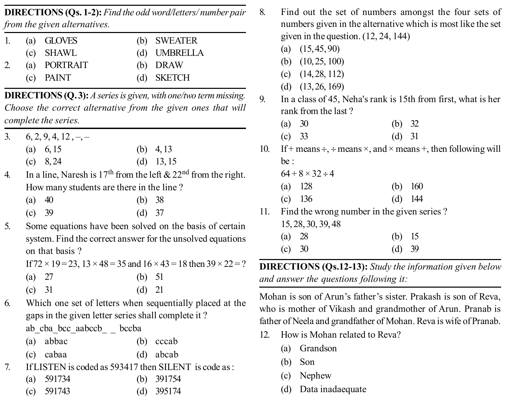**DIRECTIONS (Qs. 1-2):** *Find the odd word/letters/ number pair from the given alternatives.*

| 1. | (a) GLOVES   | (b) SWEATER  |
|----|--------------|--------------|
|    | $(c)$ SHAWL  | (d) UMBRELLA |
|    | (a) PORTRAIT | (b) DRAW     |
|    | $(c)$ PAINT  | (d) SKETCH   |

**DIRECTIONS (Q. 3):** *A series is given, with one/two term missing. Choose the correct alternative from the given ones that will complete the series.*

- 3.  $6, 2, 9, 4, 12, -$ (a)  $6, 15$  (b)  $4, 13$ 
	- (c) 8, 24 (d) 13, 15
- 4. In a line, Naresh is 17<sup>th</sup> from the left  $& 22<sup>nd</sup>$  from the right. How many students are there in the line ?
	- (a) 40 (b) 38 (c) 39 (d) 37
- 5. Some equations have been solved on the basis of certain system. Find the correct answer for the unsolved equations on that basis ?

If  $72 \times 19 = 23$ ,  $13 \times 48 = 35$  and  $16 \times 43 = 18$  then  $39 \times 22 = ?$ 

- (a) 27 (b) 51
- (c) 31 (d) 21
- 6. Which one set of letters when sequentially placed at the gaps in the given letter series shall complete it ?

ab cba bcc aabccb \_ bccba

- (a) abbac (b) cccab
- (c) cabaa (d) abcab
- 7. If LISTEN is coded as 593417 then SILENT is code as :
	- (a) 591734 (b) 391754
	- (c) 591743 (d) 395174
- 8. Find out the set of numbers amongst the four sets of numbers given in the alternative which is most like the set given in the question. (12, 24, 144)
	- (a)  $(15, 45, 90)$
	- (b) (10, 25, 100)
	- (c) (14, 28, 112)
	- (d) (13, 26, 169)
- 9. In a class of 45, Neha's rank is 15th from first, what is her rank from the last ?
	- (a) 30 (b) 32
	- (c) 33 (d) 31
- 10. If + means  $\div$ ,  $\div$  means  $\times$ , and  $\times$  means  $+$ , then following will be :

|                | $64 + 8 \times 32 \div 4$ |           |           |
|----------------|---------------------------|-----------|-----------|
|                | (a) $128$                 | (b) $160$ |           |
| $(\alpha)$ 126 |                           |           | $(1)$ 144 |

- (c) 136 (d) 144 11. Find the wrong number in the given series ?
	- 15, 28, 30, 39, 48

| (a) $28$ | (b) $15$ |  |
|----------|----------|--|
| (c) 30   | $(d)$ 39 |  |

**DIRECTIONS (Qs.12-13):** *Study the information given below and answer the questions following it:*

Mohan is son of Arun's father's sister. Prakash is son of Reva, who is mother of Vikash and grandmother of Arun. Pranab is father of Neela and grandfather of Mohan. Reva is wife of Pranab.

- 12. How is Mohan related to Reva?
	- (a) Grandson
	- (b) Son
	- (c) Nephew
	- (d) Data inadaequate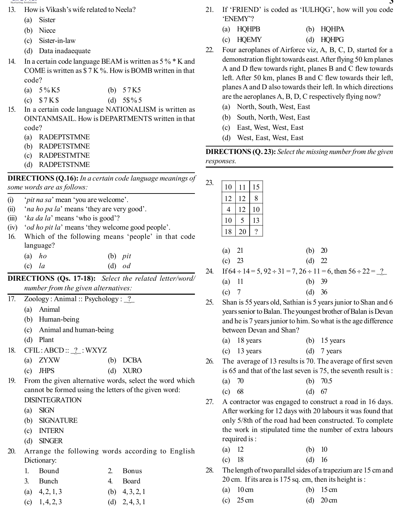- 13. How is Vikash's wife related to Neela?
	- (a) Sister
	- (b) Niece
	- (c) Sister-in-law
	- (d) Data inadaequate
- 14. In a certain code language BEAM is written as 5 % \* K and COME is written as \$ 7 K %. How is BOMB written in that code?
	- (a) 5 % K5 (b) 5 7 K5
	- (c)  $$7 K$$  (d)  $5\frac{6}{5}$
- 15. In a certain code language NATIONALISM is written as OINTANMSAIL. How is DEPARTMENTS written in that code?
	- (a) RADEPTSTMNE
	- (b) RADPETSTMNE
	- (c) RADPESTMTNE
	- (d) RADPETSTNME

## **DIRECTIONS (Q.16):** *In a certain code language meanings of some words are as follows:*

- (i) '*pit na sa*' mean 'you are welcome'.
- (ii) '*na ho pa la*' means 'they are very good'.
- (iii) '*ka da la*' means 'who is good'?
- (iv) '*od ho pit la*' means 'they welcome good people'.
- 16. Which of the following means 'people' in that code language?
	- (a) *ho* (b) *pit*
	- (c) *la* (d) *od*

**DIRECTIONS (Qs. 17-18):** *Select the related letter/word/ number from the given alternatives:*

- 17. Zoology : Animal :: Psychology : \_?
	- (a) Animal
	- (b) Human-being
	- (c) Animal and human-being
	- (d) Plant
- 18. CFIL : ABCD :: <u>?</u> : WXYZ

| $(a)$ ZYXW          | $(b)$ DCBA               |
|---------------------|--------------------------|
| $\sqrt{2}$ $\pi$ mo | $(1)$ $\pi \pi m \wedge$ |

- (c) JHPS (d) XURO
- 19. From the given alternative words, select the word which cannot be formed using the letters of the given word: DISINTEGRATION
	- (a) SIGN
	- (b) SIGNATURE
	- (c) INTERN
	- (d) SINGER
- 20. Arrange the following words according to English Dictionary:
	- 1. Bound 2. Bonus
	- 3. Bunch 4. Board
	- (a)  $4, 2, 1, 3$  (b)  $4, 3, 2, 1$
	- (c)  $1, 4, 2, 3$  (d)  $2, 4, 3, 1$
- 21. If 'FRIEND' is coded as 'IULHQG', how will you code 'ENEMY'?
	- (a) HQHPB (b) HQHPA
	- (c) HQEMY (d) HQHPG
- 22. Four aeroplanes of Airforce viz, A, B, C, D, started for a demonstration flight towards east. After flying 50 km planes A and D flew towards right, planes B and C flew towards left. After 50 km, planes B and C flew towards their left, planes A and D also towards their left. In which directions are the aeroplanes A, B, D, C respectively flying now?
	- (a) North, South, West, East
	- (b) South, North, West, East
	- (c) East, West, West, East
	- (d) West, East, West, East

**DIRECTIONS (Q. 23):** *Select the missing number from the given responses.*

| 23. | 10 | 11 | 15 |
|-----|----|----|----|
|     | 12 | 12 | 8  |
|     | 4  | 12 | 10 |
|     | 10 | 5  | 13 |
|     | 18 | 20 |    |

| (a) $21$ |  |  | (b) $20$ |  |
|----------|--|--|----------|--|
|----------|--|--|----------|--|

| (c) 23 | (d) $22$ |  |
|--------|----------|--|
|--------|----------|--|

- 24. If  $64 \div 14 = 5$ ,  $92 \div 31 = 7$ ,  $26 \div 11 = 6$ , then  $56 \div 22 = 2$ .
	- (a) 11 (b) 39
	- (c) 7 (d) 36
- 25. Shan is 55 years old, Sathian is 5 years junior to Shan and 6 years senior to Balan. The youngest brother of Balan is Devan and he is 7 years junior to him. So what is the age difference between Devan and Shan?
	- (a) 18 years (b) 15 years
	- (c) 13 years (d) 7 years
- 26. The average of 13 results is 70. The average of first seven is 65 and that of the last seven is 75, the seventh result is :
	- (a) 70 (b) 70.5
	- (c) 68 (d) 67
- 27. A contractor was engaged to construct a road in 16 days. After working for 12 days with 20 labours it was found that only 5/8th of the road had been constructed. To complete the work in stipulated time the number of extra labours required is :
	- (a) 12 (b) 10
	- (c) 18 (d) 16
- 28. The length of two parallel sides of a trapezium are 15 cm and 20 cm. If its area is 175 sq. cm, then its height is :
	- (a) 10 cm (b) 15 cm
	- (c)  $25 \text{ cm}$  (d)  $20 \text{ cm}$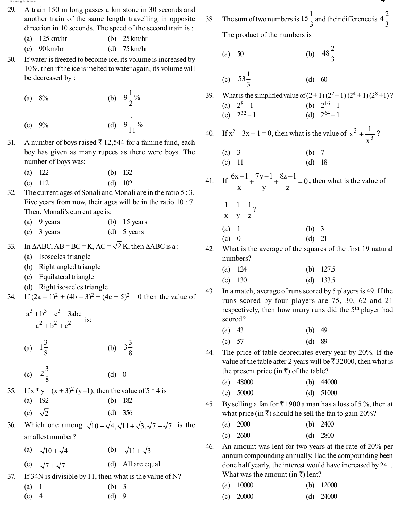- 29. A train 150 m long passes a km stone in 30 seconds and another train of the same length travelling in opposite direction in 10 seconds. The speed of the second train is :
	- (a) 125 km/hr (b) 25 km/hr
	- (c) 90 km/hr (d) 75 km/hr
- 30. If water is freezed to become ice, its volume is increased by 10%, then if the ice is melted to water again, its volume will be decreased by :
	- (a)  $8\%$  (b)  $9\frac{1}{2}\%$
	- (c)  $9\%$  $9\frac{1}{11}\%$
- 31. A number of boys raised  $\bar{\tau}$  12,544 for a famine fund, each boy has given as many rupees as there were boys. The number of boys was:
	- (a) 122 (b) 132
	- (c) 112 (d) 102
- 32. The current ages of Sonali and Monali are in the ratio 5 : 3. Five years from now, their ages will be in the ratio 10 : 7. Then, Monali's current age is:
	- (a) 9 years (b) 15 years
	- (c) 3 years (d) 5 years
- 33. In  $\triangle ABC$ ,  $AB = BC = K$ ,  $AC = \sqrt{2} K$ , then  $\triangle ABC$  is a :
	- (a) Isosceles triangle
	- (b) Right angled triangle
	- (c) Equilateral triangle
	- (d) Right isosceles triangle
- 34. If  $(2a-1)^2 + (4b-3)^2 + (4c+5)^2 = 0$  then the value of

| $\frac{a^3 + b^3 + c^3 - 3abc}{a^2 + b^2 + c^2}$ is:            |         |                    |  |
|-----------------------------------------------------------------|---------|--------------------|--|
| (a) $1\frac{3}{8}$                                              |         | (b) $3\frac{3}{8}$ |  |
| (c) $2\frac{3}{8}$                                              | $(d)$ 0 |                    |  |
| 35. If $x * y = (x + 3)^2 (y-1)$ , then the value of 5 $*$ 4 is |         |                    |  |
| $(a)$ 192                                                       |         | (b) $182$          |  |
| (c) $\sqrt{2}$                                                  |         | $(d)$ 356          |  |
| 26 Which are smars $\sqrt{12}$ , $\sqrt{11}$ , $\sqrt{2}$       |         |                    |  |

- 36. Which one among  $\sqrt{10} + \sqrt{4}, \sqrt{11} + \sqrt{3}, \sqrt{7} + \sqrt{7}$  is the smallest number?
- (a)  $\sqrt{10} + \sqrt{4}$  (b)  $\sqrt{11} + \sqrt{3}$ (c)  $\sqrt{7} + \sqrt{7}$  (d) All are equal 37. If 34N is divisible by 11, then what is the value of N?
	- (a)  $1$  (b) 3 (c) 4 (d) 9

38. The sum of two numbers is  $15\frac{1}{3}$  and their difference is  $4\frac{2}{3}$ . The product of the numbers is

(a) 50 (b) 
$$
48\frac{2}{3}
$$

(c) 
$$
53\frac{1}{3}
$$
 (d) 60

39. What is the simplified value of  $(2+1)(2^2+1)(2^4+1)(2^8+1)$ ? (a)  $2^8-1$ <br>(c)  $2^{32}-1$ (b)  $2^{16} - 1$ (d)  $2^{64} - 1$ 

40. If 
$$
x^2 - 3x + 1 = 0
$$
, then what is the value of  $x^3 + \frac{1}{x^3}$ ?

(a) 3 (b) 7 (c) 11 (d) 18

41. If 
$$
\frac{6x-1}{x} + \frac{7y-1}{y} + \frac{8z-1}{z} = 0
$$
, then what is the value of

$$
\frac{1}{x} + \frac{1}{y} + \frac{1}{z}?
$$
  
(a) 1  
(b) 3  
(c) 0  
(d) 21

- 42. What is the average of the squares of the first 19 natural numbers?
	- (a) 124 (b) 127.5
	- (c) 130 (d) 133.5
- 43. In a match, average of runs scored by 5 players is 49. If the runs scored by four players are 75, 30, 62 and 21 respectively, then how many runs did the 5<sup>th</sup> player had scored?
	- (a) 43 (b) 49
	- (c) 57 (d) 89
- 44. The price of table depreciates every year by 20%. If the value of the table after 2 years will be  $\bar{\tau}$  32000, then what is the present price (in  $\bar{x}$ ) of the table?
	- (a) 48000 (b) 44000
	- (c) 50000 (d) 51000
- 45. By selling a fan for  $\bar{x}$  1900 a man has a loss of 5%, then at what price (in  $\bar{\tau}$ ) should he sell the fan to gain 20%?
	- (a) 2000 (b) 2400
	- (c) 2600 (d) 2800
- 46. An amount was lent for two years at the rate of 20% per annum compounding annually. Had the compounding been done half yearly, the interest would have increased by 241. What was the amount (in  $\bar{\tau}$ ) lent?

| (a) $10000$ | (b) $12000$ |
|-------------|-------------|
|             |             |

(c) 20000 (d) 24000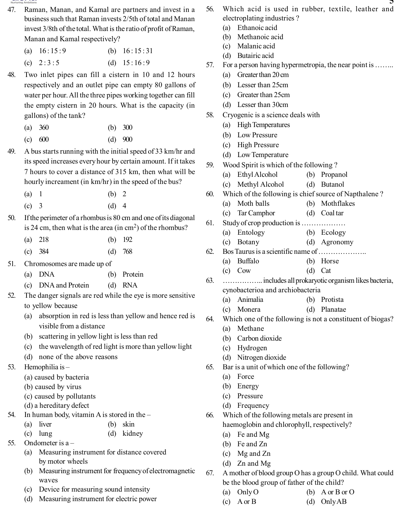

- 47. Raman, Manan, and Kamal are partners and invest in a business such that Raman invests 2/5th of total and Manan invest 3/8th of the total. What is the ratio of profit of Raman, Manan and Kamal respectively?
	- (a)  $16:15:9$  (b)  $16:15:31$
	- (c)  $2:3:5$  (d)  $15:16:9$
- 48. Two inlet pipes can fill a cistern in 10 and 12 hours respectively and an outlet pipe can empty 80 gallons of water per hour. All the three pipes working together can fill the empty cistern in 20 hours. What is the capacity (in gallons) of the tank?
	- (a) 360 (b) 300
	- (c) 600 (d) 900
- 49. A bus starts running with the initial speed of 33 km/hr and its speed increases every hour by certain amount. If it takes 7 hours to cover a distance of 315 km, then what will be hourly increament (in km/hr) in the speed of the bus?
	- (a) 1 (b) 2
	- (c) 3 (d) 4
- 50. If the perimeter of a rhombus is 80 cm and one of its diagonal is 24 cm, then what is the area (in  $\text{cm}^2$ ) of the rhombus?
	- (a) 218 (b) 192
	- (c) 384 (d) 768
- 51. Chromosomes are made up of
	- (a) DNA (b) Protein
	- (c) DNA and Protein (d) RNA
- 52. The danger signals are red while the eye is more sensitive to yellow because
	- (a) absorption in red is less than yellow and hence red is visible from a distance
	- (b) scattering in yellow light is less than red
	- (c) the wavelength of red light is more than yellow light
	- (d) none of the above reasons
- 53. Hemophilia is
	- (a) caused by bacteria
	- (b) caused by virus
	- (c) caused by pollutants
	- (d) a hereditary defect
- 54. In human body, vitamin A is stored in the
	- (a) liver (b) skin
	- (c) lung (d) kidney
- 55. Ondometer is a
	- (a) Measuring instrument for distance covered by motor wheels
	- (b) Measuring instrument for frequency of electromagnetic waves
	- (c) Device for measuring sound intensity
	- (d) Measuring instrument for electric power
- **5** 56. Which acid is used in rubber, textile, leather and electroplating industries ?
	- (a) Ethanoic acid
	- (b) Methanoic acid
	- (c) Malanic acid
	- (d) Butairic acid
- 57. For a person having hypermetropia, the near point is ……..
	- (a) Greater than 20 cm
	- (b) Lesser than 25cm
	- (c) Greater than 25cm
	- (d) Lesser than 30cm
- 58. Cryogenic is a science deals with
	- (a) High Temperatures
	- (b) Low Pressure
	- (c) High Pressure
	- (d) Low Temperature
- 59. Wood Spirit is which of the following ?
	- (a) Ethyl Alcohol (b) Propanol
		- (c) Methyl Alcohol (d) Butanol
- 60. Which of the following is chief source of Napthalene ?
	- (a) Moth balls (b) Mothflakes
	- (c) Tar Camphor (d) Coal tar
- 61. Study of crop production is ………………
	- (a) Entology (b) Ecology
	- (c) Botany (d) Agronomy
- 62. Bos Taurus is a scientific name of ………………..
	- (a) Buffalo (b) Horse
	- (c) Cow (d) Cat
- 63. …………….. includes all prokaryotic organism likes bacteria, cynobacterioa and archiobacteria
	- (a) Animalia (b) Protista
	- (c) Monera (d) Planatae
- 64. Which one of the following is not a constituent of biogas?
	- (a) Methane
	- (b) Carbon dioxide
	- (c) Hydrogen
	- (d) Nitrogen dioxide
- 65. Bar is a unit of which one of the following?
	- (a) Force
	- (b) Energy
	- (c) Pressure
	- (d) Frequency
- 66. Which of the following metals are present in haemoglobin and chlorophyll, respectively?
	- (a) Fe and Mg
	- (b) Fe and Zn
	- (c) Mg and Zn
	- (d) Zn and Mg
- 67. A mother of blood group O has a group O child. What could be the blood group of father of the child?
	- (a) Only O (b) A or B or O
		-
	- (c) A or B (d) Only AB
-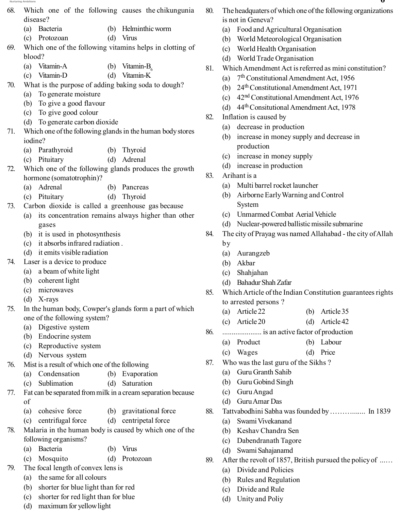- 68. Which one of the following causes the chikungunia disease?
	- (a) Bacteria (b) Helminthic worm
	- (c) Protozoan (d) Virus
- 69. Which one of the following vitamins helps in clotting of blood?
	- (a) Vitamin-A (b) Vitamin-B<sub>6</sub><br>(c) Vitamin-D (d) Vitamin-K
	- (c) Vitamin-D (d) Vitamin-K
- 70. What is the purpose of adding baking soda to dough?
	- (a) To generate moisture
	- (b) To give a good flavour
	- (c) To give good colour
	- (d) To generate carbon dioxide
- 71. Which one of the following glands in the human body stores iodine?
	- (a) Parathyroid (b) Thyroid
	- (c) Pituitary (d) Adrenal
- 72. Which one of the following glands produces the growth hormone (somatotrophin)?
	- (a) Adrenal (b) Pancreas
	- (c) Pituitary (d) Thyroid
- 73. Carbon dioxide is called a greenhouse gas because
	- (a) its concentration remains always higher than other gases
	- (b) it is used in photosynthesis
	- (c) it absorbs infrared radiation .
	- (d) it emits visible radiation
- 74. Laser is a device to produce
	- (a) a beam of white light
	- (b) coherent light
	- (c) microwaves
	- (d) X-rays
- 75. In the human body, Cowper's glands form a part of which one of the following system?
	- (a) Digestive system
	- (b) Endocrine system
	- (c) Reproductive system
	- (d) Nervous system
- 76. Mist is a result of which one of the following
	- (a) Condensation (b) Evaporation
	- (c) Sublimation (d) Saturation
- 77. Fat can be separated from milk in a cream separation because of
	- (a) cohesive force (b) gravitational force
	- (c) centrifugal force (d) centripetal force
- 78. Malaria in the human body is caused by which one of the following organisms?
	- (a) Bacteria (b) Virus
	- (c) Mosquito (d) Protozoan
- 79. The focal length of convex lens is
	- (a) the same for all colours
	- (b) shorter for blue light than for red
	- (c) shorter for red light than for blue
	- (d) maximum for yellow light
- 80. The headquaters of which one of the following organizations is not in Geneva?
	- (a) Food and Agricultural Organisation
	- (b) World Meteorological Organisation
	- (c) World Health Organisation
	- (d) World Trade Organisation
- 81. Which Amendment Act is referred as mini constitution?
	- (a)  $7<sup>th</sup>$  Constitutional Amendment Act, 1956
	- (b) 24th Constitutional Amendment Act, 1971
	- (c) 42nd Constitutional Amendment Act, 1976
	- (d) 44th Consitutional Amendment Act, 1978
- 82. Inflation is caused by
	- (a) decrease in production
	- (b) increase in money supply and decrease in production
	- (c) increase in money supply
	- (d) increase in production
- 83. Arihant is a
	- (a) Multi barrel rocket launcher
	- (b) Airborne Early Warning and Control System
	- (c) Unmarmed Combat Aerial Vehicle
	- (d) Nuclear-powered ballistic missile submarine
- 84. The city of Prayag was named Allahabad the city of Allah
	- by
		- (a) Aurangzeb
		- (b) Akbar
		- (c) Shahjahan
		- (d) Bahadur Shah Zafar
- 85. Which Article of the Indian Constitution guarantees rights to arrested persons ?
	- (a) Article 22 (b) Article 35
	- (c) Article 20 (d) Article 42
- 86. ..................... is an active factor of production
	- (a) Product (b) Labour
	- (c) Wages (d) Price
- 87. Who was the last guru of the Sikhs ?
	- (a) Guru Granth Sahib
	- (b) Guru Gobind Singh
	- (c) Guru Angad
	- (d) Guru Amar Das
- 88. Tattvabodhini Sabha was founded by ………....... In 1839
	- (a) Swami Vivekanand
	- (b) Keshav Chandra Sen
	- (c) Dabendranath Tagore
	- (d) Swami Sahajanamd
- 89. After the revolt of 1857, British pursued the policy of ...…
	- (a) Divide and Policies
	- (b) Rules and Regulation
	- (c) Divide and Rule
	- (d) Unity and Poliy